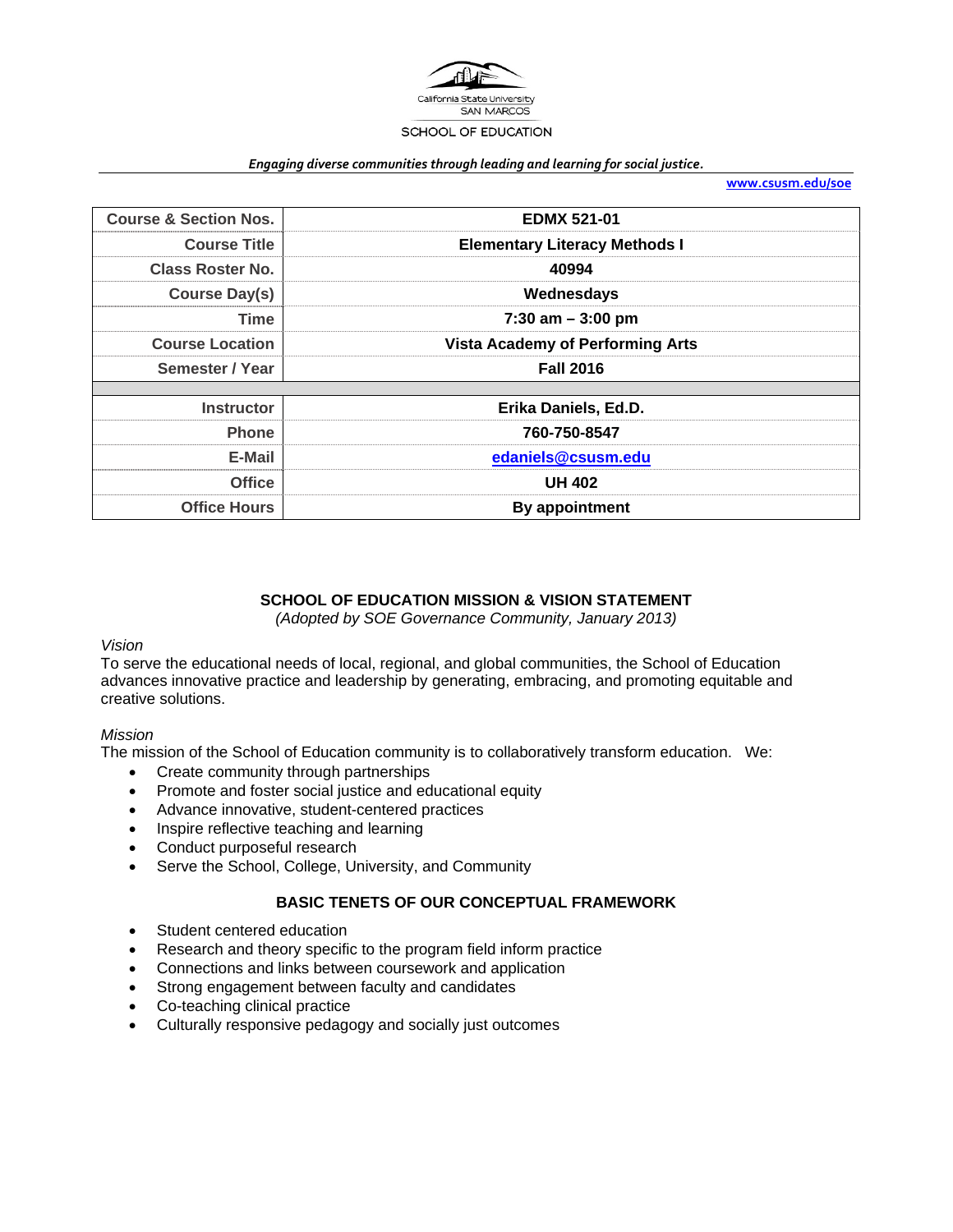

#### *Engaging diverse communities through leading and learning for social justice.*

**www.csusm.edu/soe**

| <b>Course &amp; Section Nos.</b> | <b>EDMX 521-01</b>                      |  |
|----------------------------------|-----------------------------------------|--|
| <b>Course Title</b>              | <b>Elementary Literacy Methods I</b>    |  |
| <b>Class Roster No.</b>          | 40994                                   |  |
| <b>Course Day(s)</b>             | Wednesdays                              |  |
| <b>Time</b>                      | $7:30$ am $-3:00$ pm                    |  |
| <b>Course Location</b>           | <b>Vista Academy of Performing Arts</b> |  |
| Semester / Year                  | <b>Fall 2016</b>                        |  |
|                                  |                                         |  |
| <b>Instructor</b>                | Erika Daniels, Ed.D.                    |  |
| <b>Phone</b>                     | 760-750-8547                            |  |
| E-Mail                           | edaniels@csusm.edu                      |  |
| <b>Office</b>                    | <b>UH 402</b>                           |  |
| <b>Office Hours</b>              | By appointment                          |  |

# **SCHOOL OF EDUCATION MISSION & VISION STATEMENT**

*(Adopted by SOE Governance Community, January 2013)* 

#### *Vision*

To serve the educational needs of local, regional, and global communities, the School of Education advances innovative practice and leadership by generating, embracing, and promoting equitable and creative solutions.

#### *Mission*

The mission of the School of Education community is to collaboratively transform education. We:

- Create community through partnerships
- Promote and foster social justice and educational equity
- Advance innovative, student-centered practices
- Inspire reflective teaching and learning
- Conduct purposeful research
- Serve the School, College, University, and Community

### **BASIC TENETS OF OUR CONCEPTUAL FRAMEWORK**

- Student centered education
- Research and theory specific to the program field inform practice
- Connections and links between coursework and application
- Strong engagement between faculty and candidates
- Co-teaching clinical practice
- Culturally responsive pedagogy and socially just outcomes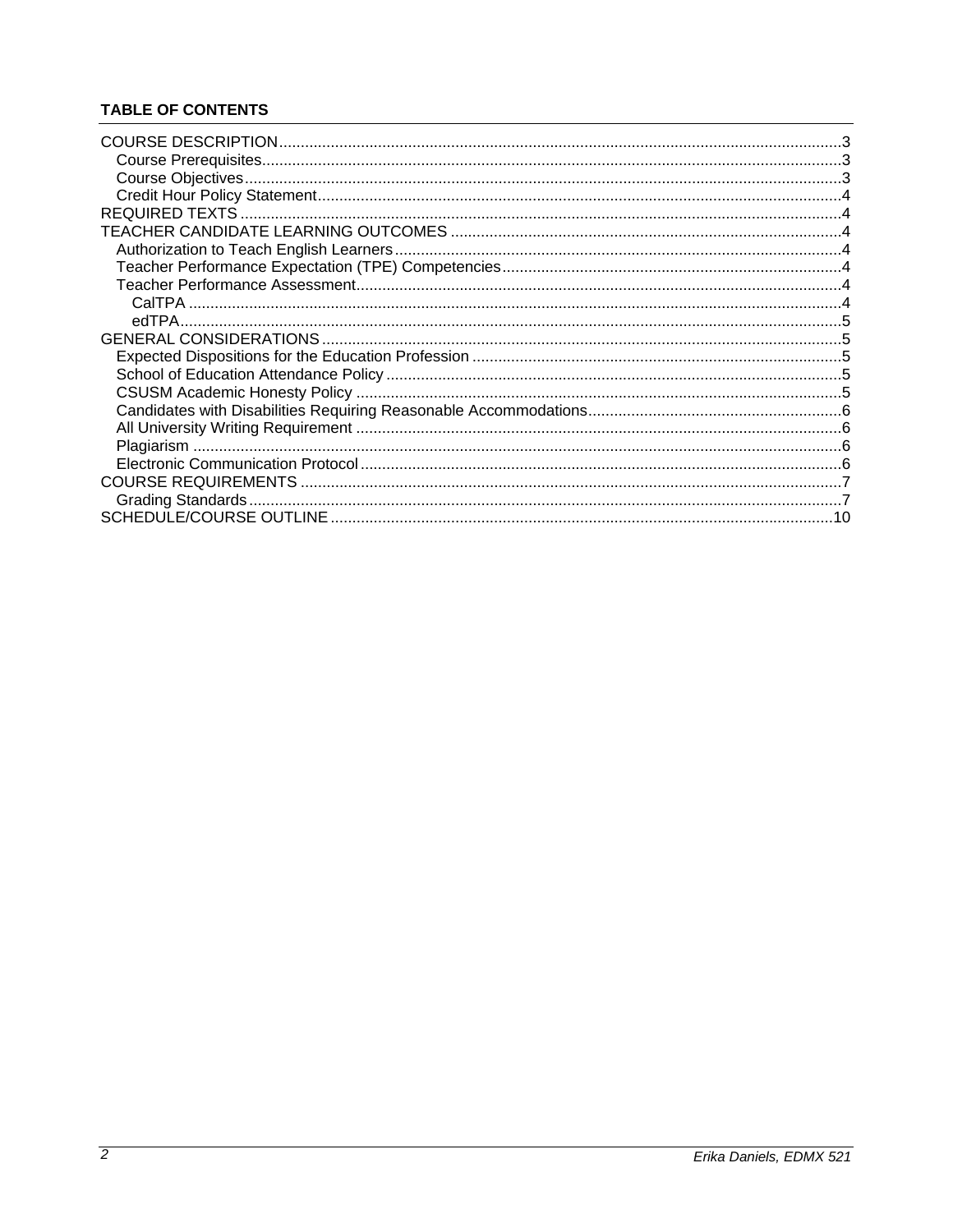# **TABLE OF CONTENTS**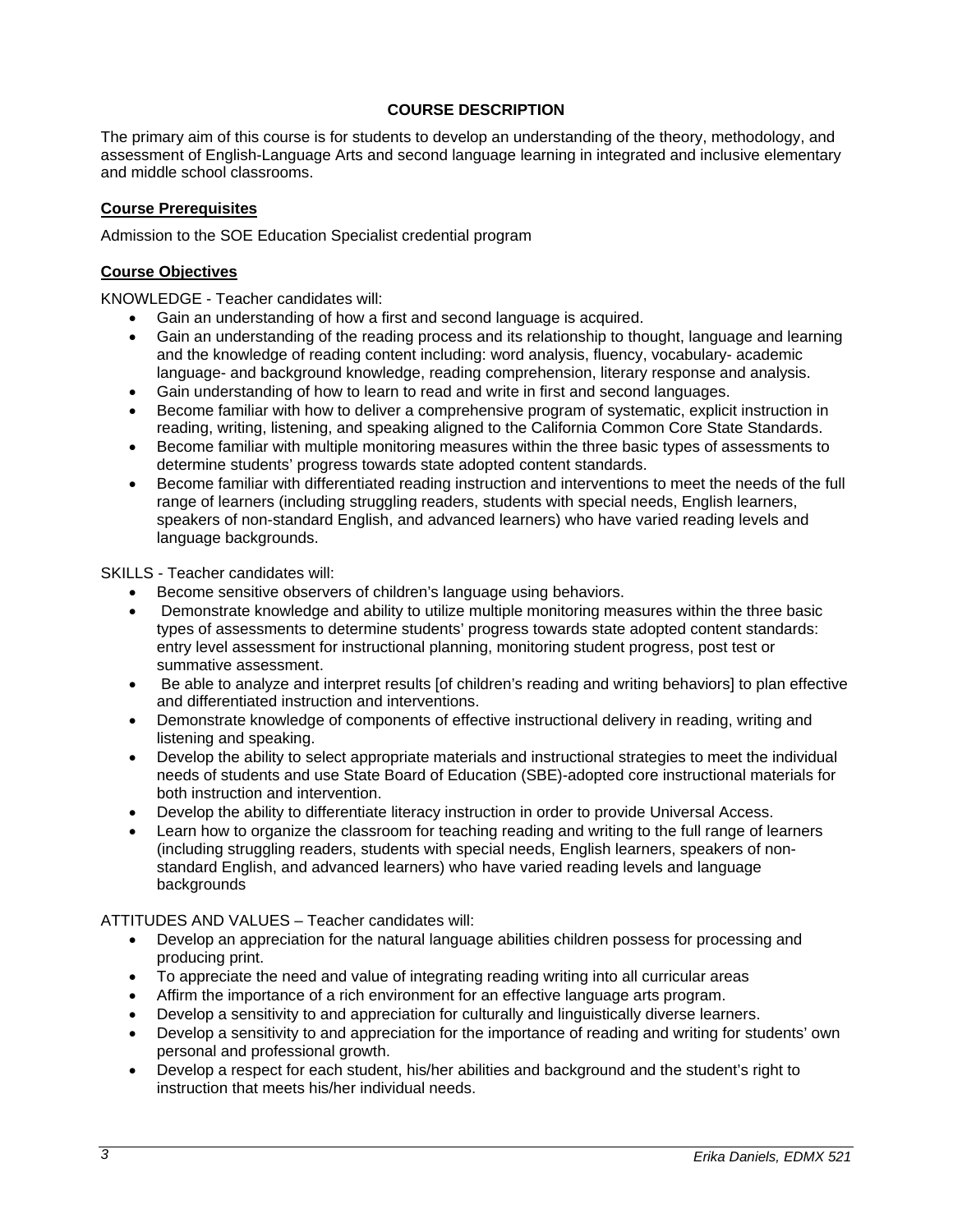# **COURSE DESCRIPTION**

The primary aim of this course is for students to develop an understanding of the theory, methodology, and assessment of English-Language Arts and second language learning in integrated and inclusive elementary and middle school classrooms.

### **Course Prerequisites**

Admission to the SOE Education Specialist credential program

### **Course Objectives**

KNOWLEDGE - Teacher candidates will:

- Gain an understanding of how a first and second language is acquired.
- Gain an understanding of the reading process and its relationship to thought, language and learning and the knowledge of reading content including: word analysis, fluency, vocabulary- academic language- and background knowledge, reading comprehension, literary response and analysis.
- Gain understanding of how to learn to read and write in first and second languages.
- Become familiar with how to deliver a comprehensive program of systematic, explicit instruction in reading, writing, listening, and speaking aligned to the California Common Core State Standards.
- Become familiar with multiple monitoring measures within the three basic types of assessments to determine students' progress towards state adopted content standards.
- Become familiar with differentiated reading instruction and interventions to meet the needs of the full range of learners (including struggling readers, students with special needs, English learners, speakers of non-standard English, and advanced learners) who have varied reading levels and language backgrounds.

SKILLS - Teacher candidates will:

- Become sensitive observers of children's language using behaviors.
- Demonstrate knowledge and ability to utilize multiple monitoring measures within the three basic types of assessments to determine students' progress towards state adopted content standards: entry level assessment for instructional planning, monitoring student progress, post test or summative assessment.
- Be able to analyze and interpret results [of children's reading and writing behaviors] to plan effective and differentiated instruction and interventions.
- Demonstrate knowledge of components of effective instructional delivery in reading, writing and listening and speaking.
- Develop the ability to select appropriate materials and instructional strategies to meet the individual needs of students and use State Board of Education (SBE)-adopted core instructional materials for both instruction and intervention.
- Develop the ability to differentiate literacy instruction in order to provide Universal Access.
- Learn how to organize the classroom for teaching reading and writing to the full range of learners (including struggling readers, students with special needs, English learners, speakers of nonstandard English, and advanced learners) who have varied reading levels and language backgrounds

ATTITUDES AND VALUES – Teacher candidates will:

- Develop an appreciation for the natural language abilities children possess for processing and producing print.
- To appreciate the need and value of integrating reading writing into all curricular areas
- Affirm the importance of a rich environment for an effective language arts program.
- Develop a sensitivity to and appreciation for culturally and linguistically diverse learners.
- Develop a sensitivity to and appreciation for the importance of reading and writing for students' own personal and professional growth.
- Develop a respect for each student, his/her abilities and background and the student's right to instruction that meets his/her individual needs.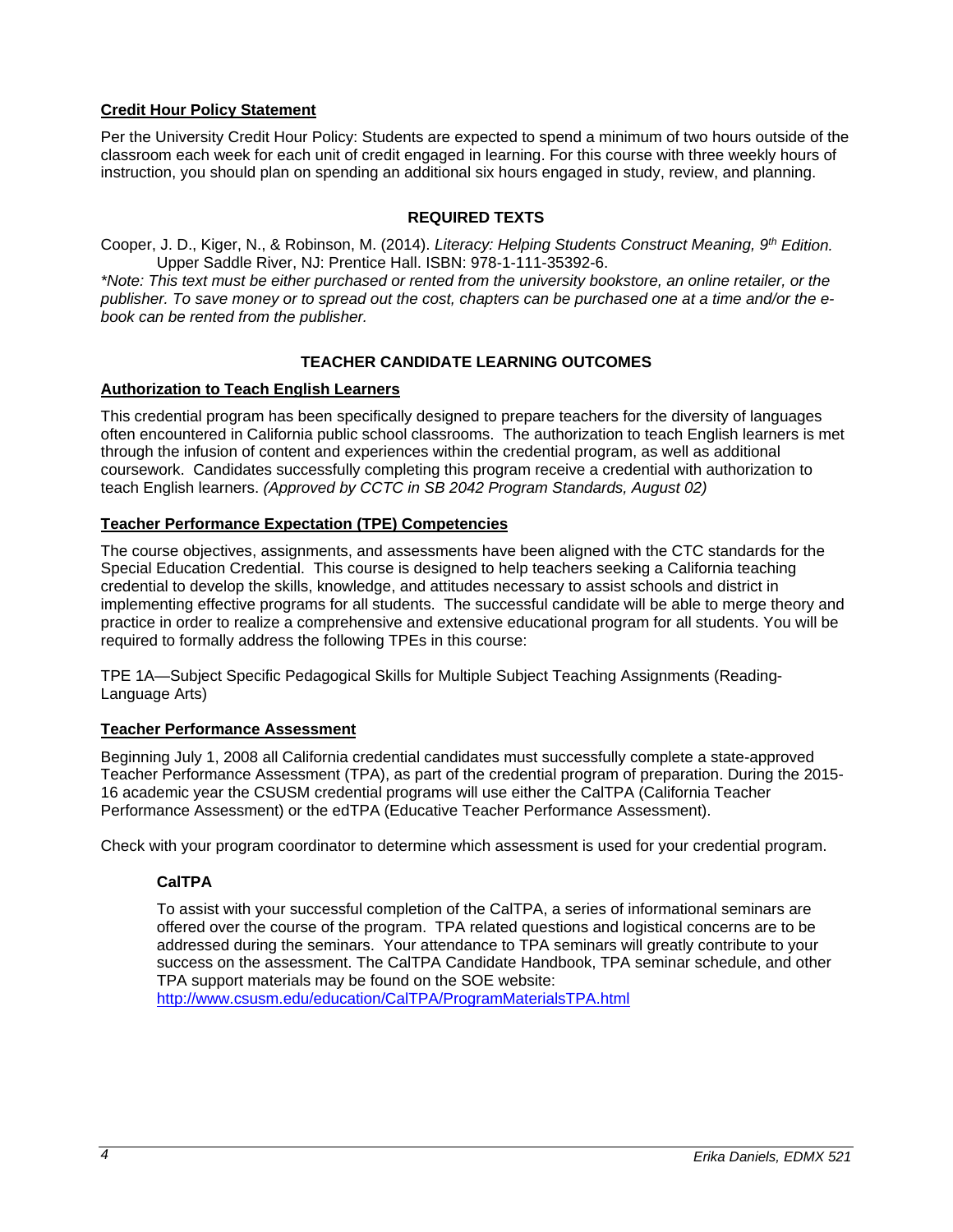# **Credit Hour Policy Statement**

Per the University Credit Hour Policy: Students are expected to spend a minimum of two hours outside of the classroom each week for each unit of credit engaged in learning. For this course with three weekly hours of instruction, you should plan on spending an additional six hours engaged in study, review, and planning.

### **REQUIRED TEXTS**

Cooper, J. D., Kiger, N., & Robinson, M. (2014). *Literacy: Helping Students Construct Meaning, 9th Edition.* Upper Saddle River, NJ: Prentice Hall. ISBN: 978-1-111-35392-6.

*\*Note: This text must be either purchased or rented from the university bookstore, an online retailer, or the publisher. To save money or to spread out the cost, chapters can be purchased one at a time and/or the ebook can be rented from the publisher.*

### **TEACHER CANDIDATE LEARNING OUTCOMES**

# **Authorization to Teach English Learners**

This credential program has been specifically designed to prepare teachers for the diversity of languages often encountered in California public school classrooms. The authorization to teach English learners is met through the infusion of content and experiences within the credential program, as well as additional coursework. Candidates successfully completing this program receive a credential with authorization to teach English learners. *(Approved by CCTC in SB 2042 Program Standards, August 02)*

# **Teacher Performance Expectation (TPE) Competencies**

The course objectives, assignments, and assessments have been aligned with the CTC standards for the Special Education Credential. This course is designed to help teachers seeking a California teaching credential to develop the skills, knowledge, and attitudes necessary to assist schools and district in implementing effective programs for all students. The successful candidate will be able to merge theory and practice in order to realize a comprehensive and extensive educational program for all students. You will be required to formally address the following TPEs in this course:

TPE 1A—Subject Specific Pedagogical Skills for Multiple Subject Teaching Assignments (Reading-Language Arts)

### **Teacher Performance Assessment**

Beginning July 1, 2008 all California credential candidates must successfully complete a state-approved Teacher Performance Assessment (TPA), as part of the credential program of preparation. During the 2015- 16 academic year the CSUSM credential programs will use either the CalTPA (California Teacher Performance Assessment) or the edTPA (Educative Teacher Performance Assessment).

Check with your program coordinator to determine which assessment is used for your credential program.

# **CalTPA**

To assist with your successful completion of the CalTPA, a series of informational seminars are offered over the course of the program. TPA related questions and logistical concerns are to be addressed during the seminars. Your attendance to TPA seminars will greatly contribute to your success on the assessment. The CalTPA Candidate Handbook, TPA seminar schedule, and other TPA support materials may be found on the SOE website:

http://www.csusm.edu/education/CalTPA/ProgramMaterialsTPA.html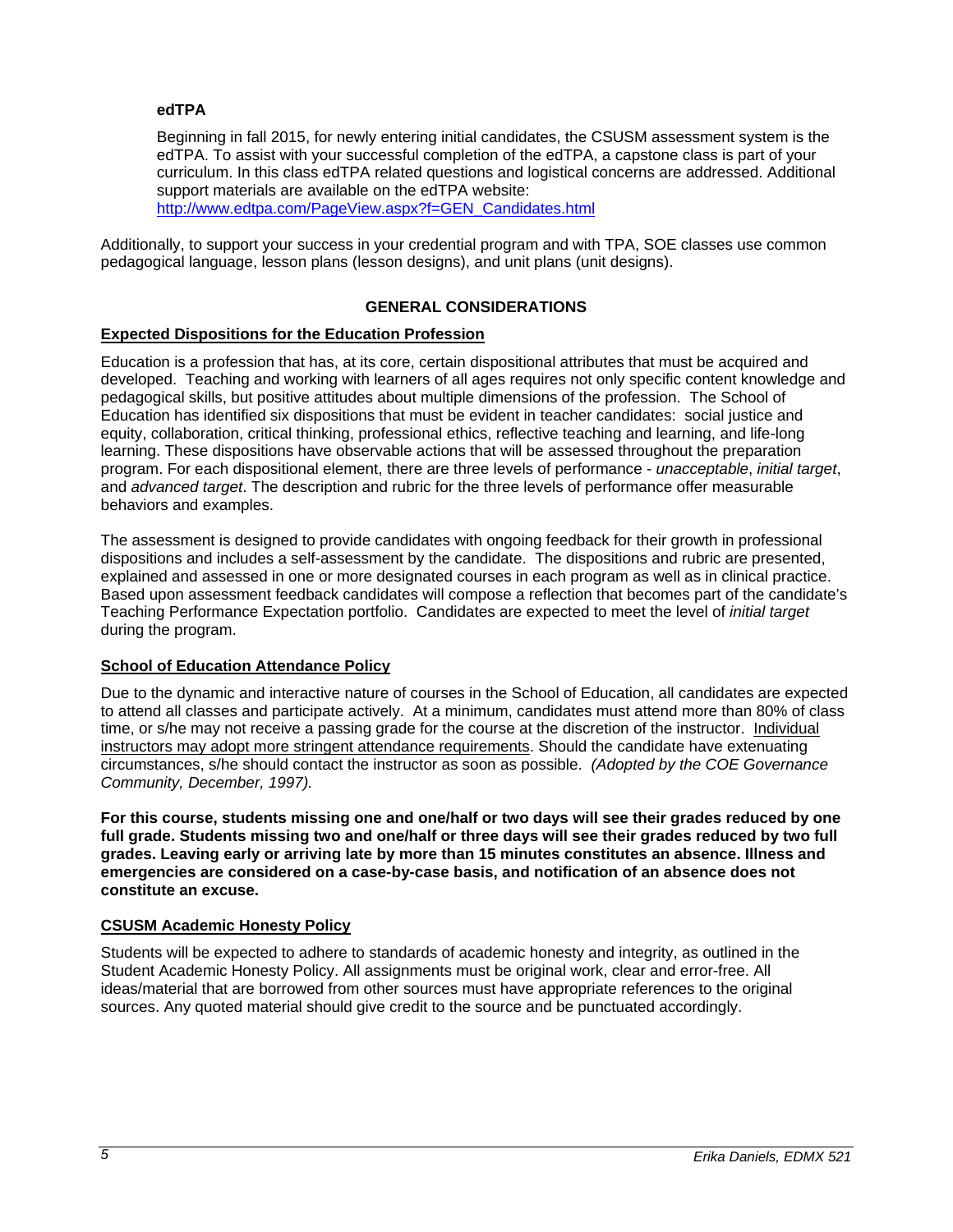### **edTPA**

Beginning in fall 2015, for newly entering initial candidates, the CSUSM assessment system is the edTPA. To assist with your successful completion of the edTPA, a capstone class is part of your curriculum. In this class edTPA related questions and logistical concerns are addressed. Additional support materials are available on the edTPA website: http://www.edtpa.com/PageView.aspx?f=GEN\_Candidates.html

Additionally, to support your success in your credential program and with TPA, SOE classes use common pedagogical language, lesson plans (lesson designs), and unit plans (unit designs).

### **GENERAL CONSIDERATIONS**

### **Expected Dispositions for the Education Profession**

Education is a profession that has, at its core, certain dispositional attributes that must be acquired and developed. Teaching and working with learners of all ages requires not only specific content knowledge and pedagogical skills, but positive attitudes about multiple dimensions of the profession. The School of Education has identified six dispositions that must be evident in teacher candidates: social justice and equity, collaboration, critical thinking, professional ethics, reflective teaching and learning, and life-long learning. These dispositions have observable actions that will be assessed throughout the preparation program. For each dispositional element, there are three levels of performance - *unacceptable*, *initial target*, and *advanced target*. The description and rubric for the three levels of performance offer measurable behaviors and examples.

The assessment is designed to provide candidates with ongoing feedback for their growth in professional dispositions and includes a self-assessment by the candidate. The dispositions and rubric are presented, explained and assessed in one or more designated courses in each program as well as in clinical practice. Based upon assessment feedback candidates will compose a reflection that becomes part of the candidate's Teaching Performance Expectation portfolio. Candidates are expected to meet the level of *initial target* during the program.

#### **School of Education Attendance Policy**

Due to the dynamic and interactive nature of courses in the School of Education, all candidates are expected to attend all classes and participate actively. At a minimum, candidates must attend more than 80% of class time, or s/he may not receive a passing grade for the course at the discretion of the instructor. Individual instructors may adopt more stringent attendance requirements. Should the candidate have extenuating circumstances, s/he should contact the instructor as soon as possible. *(Adopted by the COE Governance Community, December, 1997).*

**For this course, students missing one and one/half or two days will see their grades reduced by one full grade. Students missing two and one/half or three days will see their grades reduced by two full grades. Leaving early or arriving late by more than 15 minutes constitutes an absence. Illness and emergencies are considered on a case-by-case basis, and notification of an absence does not constitute an excuse.** 

#### **CSUSM Academic Honesty Policy**

Students will be expected to adhere to standards of academic honesty and integrity, as outlined in the Student Academic Honesty Policy. All assignments must be original work, clear and error-free. All ideas/material that are borrowed from other sources must have appropriate references to the original sources. Any quoted material should give credit to the source and be punctuated accordingly.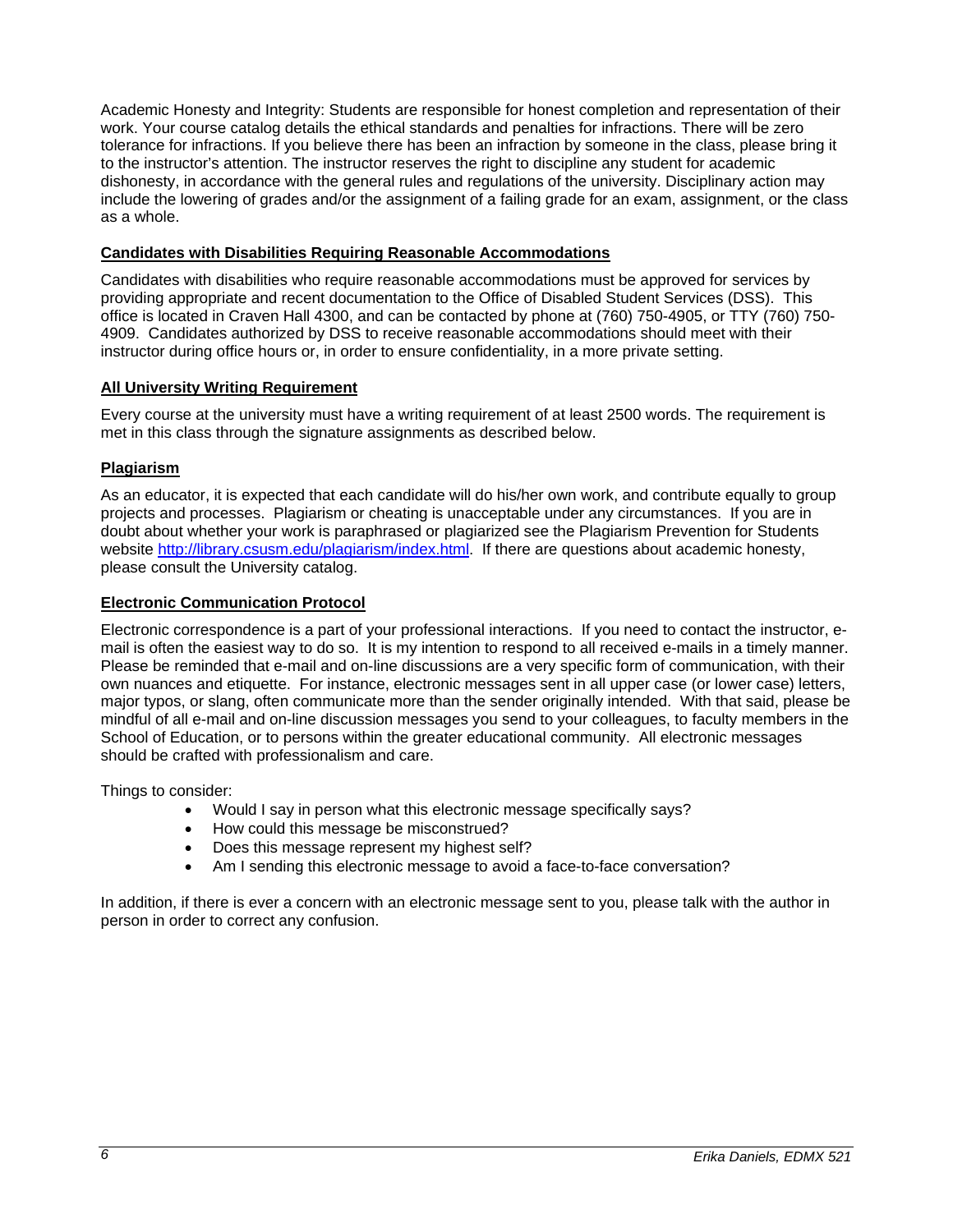Academic Honesty and Integrity: Students are responsible for honest completion and representation of their work. Your course catalog details the ethical standards and penalties for infractions. There will be zero tolerance for infractions. If you believe there has been an infraction by someone in the class, please bring it to the instructor's attention. The instructor reserves the right to discipline any student for academic dishonesty, in accordance with the general rules and regulations of the university. Disciplinary action may include the lowering of grades and/or the assignment of a failing grade for an exam, assignment, or the class as a whole.

### **Candidates with Disabilities Requiring Reasonable Accommodations**

Candidates with disabilities who require reasonable accommodations must be approved for services by providing appropriate and recent documentation to the Office of Disabled Student Services (DSS). This office is located in Craven Hall 4300, and can be contacted by phone at (760) 750-4905, or TTY (760) 750- 4909. Candidates authorized by DSS to receive reasonable accommodations should meet with their instructor during office hours or, in order to ensure confidentiality, in a more private setting.

### **All University Writing Requirement**

Every course at the university must have a writing requirement of at least 2500 words. The requirement is met in this class through the signature assignments as described below.

### **Plagiarism**

As an educator, it is expected that each candidate will do his/her own work, and contribute equally to group projects and processes. Plagiarism or cheating is unacceptable under any circumstances. If you are in doubt about whether your work is paraphrased or plagiarized see the Plagiarism Prevention for Students website http://library.csusm.edu/plagiarism/index.html. If there are questions about academic honesty, please consult the University catalog.

### **Electronic Communication Protocol**

Electronic correspondence is a part of your professional interactions. If you need to contact the instructor, email is often the easiest way to do so. It is my intention to respond to all received e-mails in a timely manner. Please be reminded that e-mail and on-line discussions are a very specific form of communication, with their own nuances and etiquette. For instance, electronic messages sent in all upper case (or lower case) letters, major typos, or slang, often communicate more than the sender originally intended. With that said, please be mindful of all e-mail and on-line discussion messages you send to your colleagues, to faculty members in the School of Education, or to persons within the greater educational community. All electronic messages should be crafted with professionalism and care.

Things to consider:

- Would I say in person what this electronic message specifically says?
- How could this message be misconstrued?
- Does this message represent my highest self?
- Am I sending this electronic message to avoid a face-to-face conversation?

In addition, if there is ever a concern with an electronic message sent to you, please talk with the author in person in order to correct any confusion.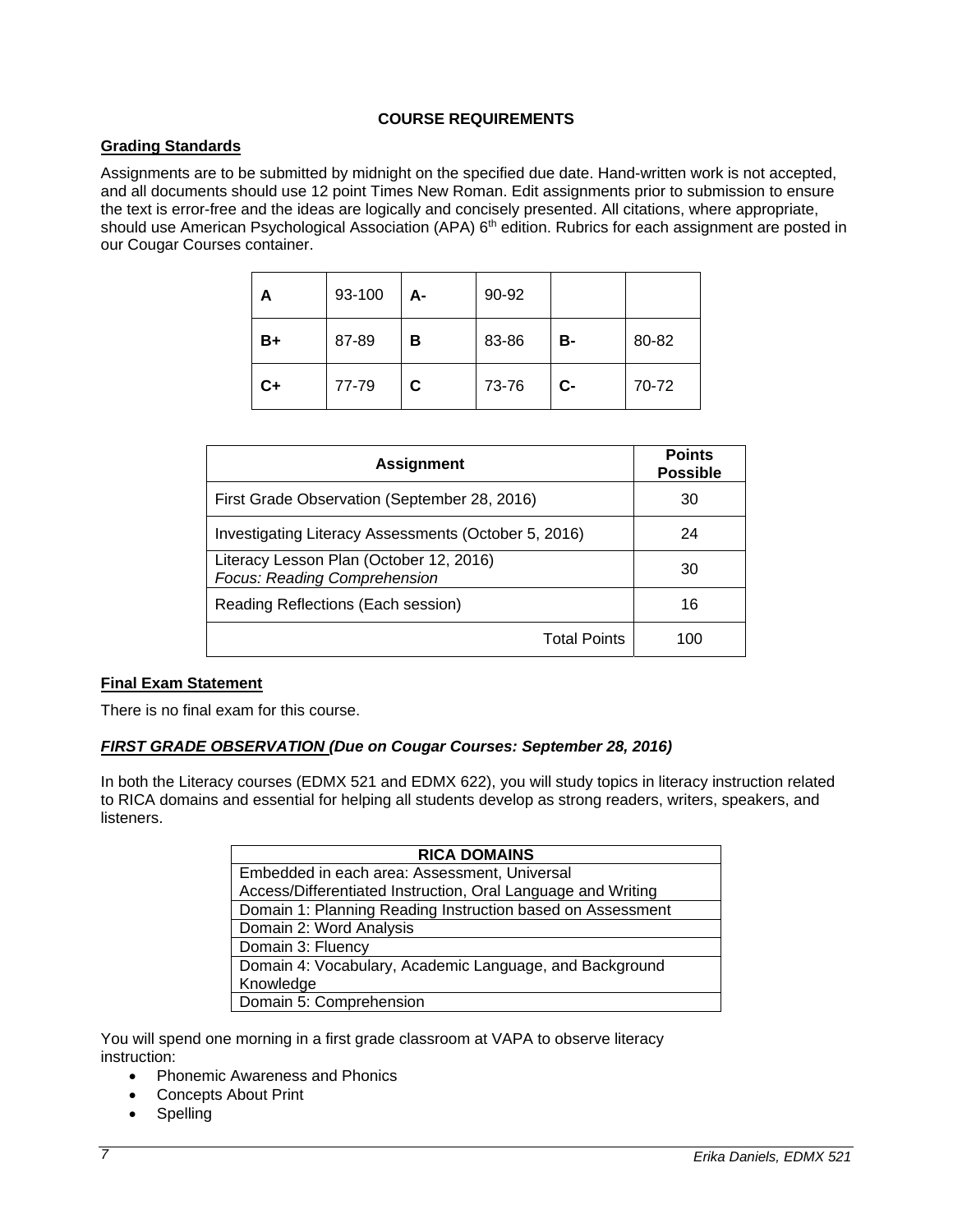# **COURSE REQUIREMENTS**

### **Grading Standards**

Assignments are to be submitted by midnight on the specified due date. Hand-written work is not accepted, and all documents should use 12 point Times New Roman. Edit assignments prior to submission to ensure the text is error-free and the ideas are logically and concisely presented. All citations, where appropriate, should use American Psychological Association (APA) 6<sup>th</sup> edition. Rubrics for each assignment are posted in our Cougar Courses container.

| A  | 93-100 | А- | 90-92 |           |       |
|----|--------|----|-------|-----------|-------|
| B+ | 87-89  | в  | 83-86 | <b>B-</b> | 80-82 |
| C+ | 77-79  | C. | 73-76 | $C-$      | 70-72 |

| <b>Assignment</b>                                                       | <b>Points</b><br><b>Possible</b> |
|-------------------------------------------------------------------------|----------------------------------|
| First Grade Observation (September 28, 2016)                            | 30                               |
| Investigating Literacy Assessments (October 5, 2016)                    | 24                               |
| Literacy Lesson Plan (October 12, 2016)<br>Focus: Reading Comprehension | 30                               |
| Reading Reflections (Each session)                                      | 16                               |
| <b>Total Points</b>                                                     | 100                              |

### **Final Exam Statement**

There is no final exam for this course.

### *FIRST GRADE OBSERVATION (Due on Cougar Courses: September 28, 2016)*

In both the Literacy courses (EDMX 521 and EDMX 622), you will study topics in literacy instruction related to RICA domains and essential for helping all students develop as strong readers, writers, speakers, and listeners.

| <b>RICA DOMAINS</b>                                          |  |  |
|--------------------------------------------------------------|--|--|
| Embedded in each area: Assessment, Universal                 |  |  |
| Access/Differentiated Instruction, Oral Language and Writing |  |  |
| Domain 1: Planning Reading Instruction based on Assessment   |  |  |
| Domain 2: Word Analysis                                      |  |  |
| Domain 3: Fluency                                            |  |  |
| Domain 4: Vocabulary, Academic Language, and Background      |  |  |
| Knowledge                                                    |  |  |
| Domain 5: Comprehension                                      |  |  |

You will spend one morning in a first grade classroom at VAPA to observe literacy instruction:

- Phonemic Awareness and Phonics
- Concepts About Print
- Spelling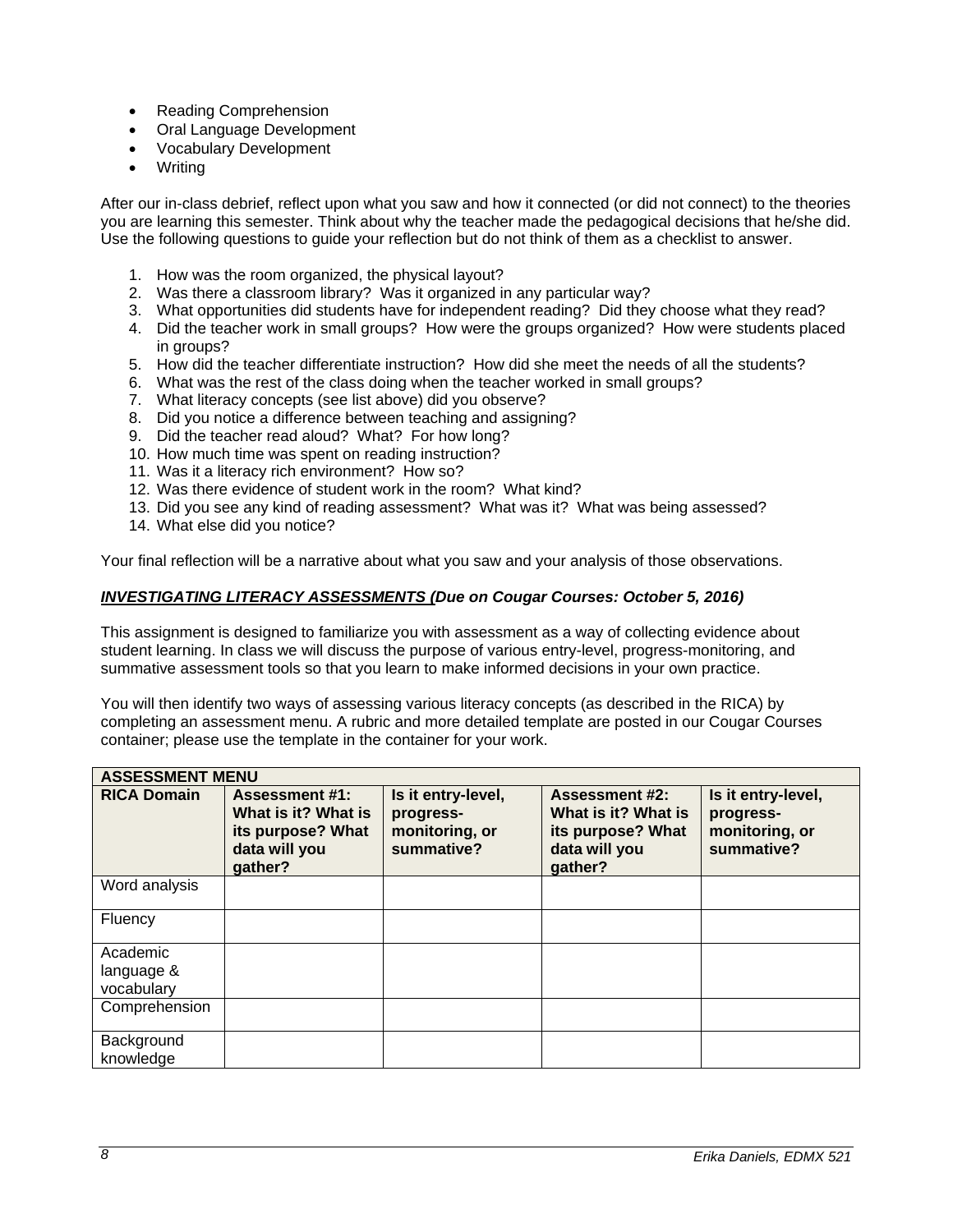- Reading Comprehension
- Oral Language Development
- Vocabulary Development
- Writing

After our in-class debrief, reflect upon what you saw and how it connected (or did not connect) to the theories you are learning this semester. Think about why the teacher made the pedagogical decisions that he/she did. Use the following questions to guide your reflection but do not think of them as a checklist to answer.

- 1. How was the room organized, the physical layout?
- 2. Was there a classroom library? Was it organized in any particular way?
- 3. What opportunities did students have for independent reading? Did they choose what they read?
- 4. Did the teacher work in small groups? How were the groups organized? How were students placed in groups?
- 5. How did the teacher differentiate instruction? How did she meet the needs of all the students?
- 6. What was the rest of the class doing when the teacher worked in small groups?
- 7. What literacy concepts (see list above) did you observe?
- 8. Did you notice a difference between teaching and assigning?
- 9. Did the teacher read aloud? What? For how long?
- 10. How much time was spent on reading instruction?
- 11. Was it a literacy rich environment? How so?
- 12. Was there evidence of student work in the room? What kind?
- 13. Did you see any kind of reading assessment? What was it? What was being assessed?
- 14. What else did you notice?

Your final reflection will be a narrative about what you saw and your analysis of those observations.

### *INVESTIGATING LITERACY ASSESSMENTS (Due on Cougar Courses: October 5, 2016)*

This assignment is designed to familiarize you with assessment as a way of collecting evidence about student learning. In class we will discuss the purpose of various entry-level, progress-monitoring, and summative assessment tools so that you learn to make informed decisions in your own practice.

You will then identify two ways of assessing various literacy concepts (as described in the RICA) by completing an assessment menu. A rubric and more detailed template are posted in our Cougar Courses container; please use the template in the container for your work.

| <b>ASSESSMENT MENU</b>               |                                                                                               |                                                                 |                                                                                               |                                                                 |
|--------------------------------------|-----------------------------------------------------------------------------------------------|-----------------------------------------------------------------|-----------------------------------------------------------------------------------------------|-----------------------------------------------------------------|
| <b>RICA Domain</b>                   | <b>Assessment #1:</b><br>What is it? What is<br>its purpose? What<br>data will you<br>gather? | Is it entry-level,<br>progress-<br>monitoring, or<br>summative? | <b>Assessment #2:</b><br>What is it? What is<br>its purpose? What<br>data will you<br>gather? | Is it entry-level,<br>progress-<br>monitoring, or<br>summative? |
| Word analysis                        |                                                                                               |                                                                 |                                                                                               |                                                                 |
| Fluency                              |                                                                                               |                                                                 |                                                                                               |                                                                 |
| Academic<br>language &<br>vocabulary |                                                                                               |                                                                 |                                                                                               |                                                                 |
| Comprehension                        |                                                                                               |                                                                 |                                                                                               |                                                                 |
| Background<br>knowledge              |                                                                                               |                                                                 |                                                                                               |                                                                 |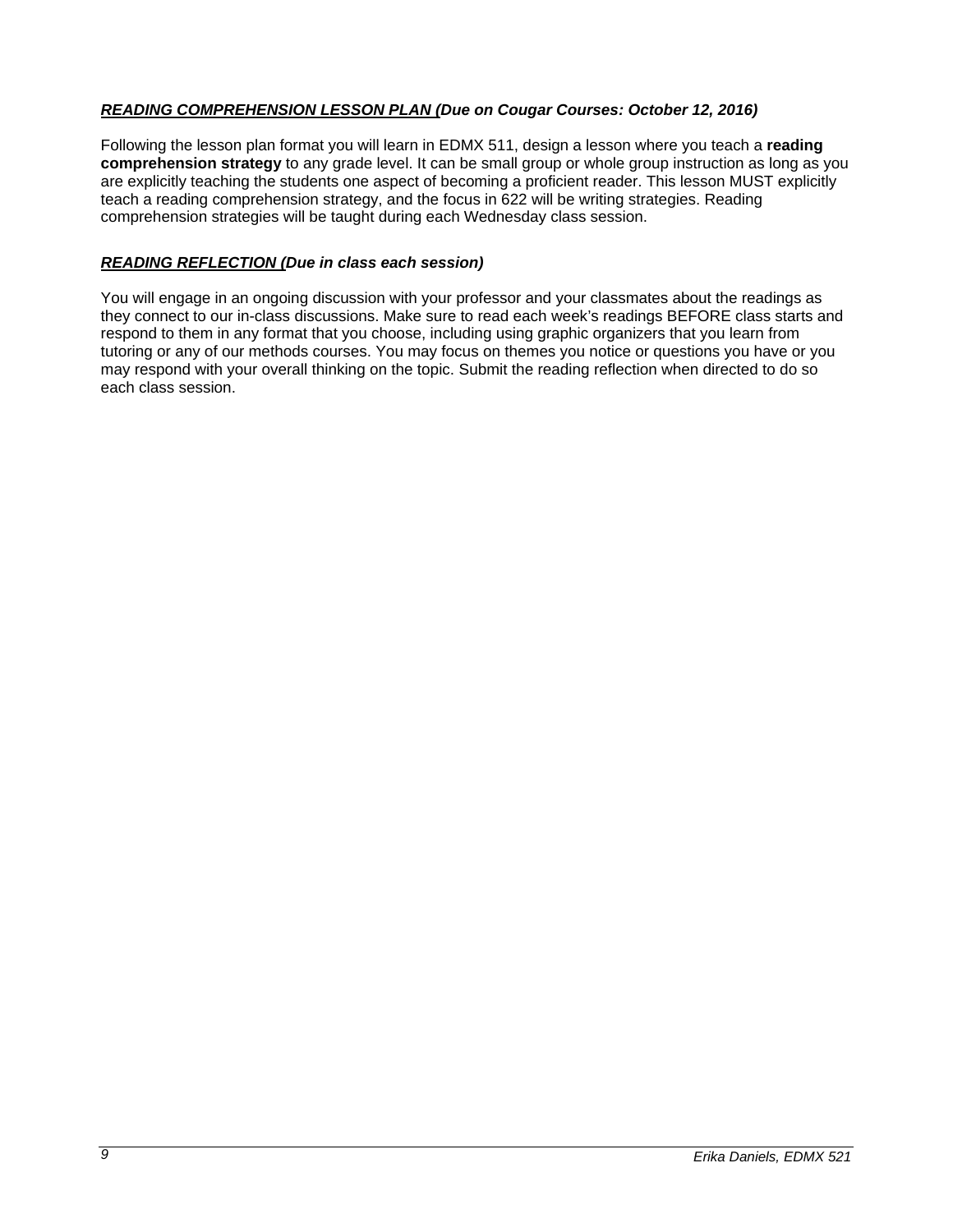# *READING COMPREHENSION LESSON PLAN (Due on Cougar Courses: October 12, 2016)*

Following the lesson plan format you will learn in EDMX 511, design a lesson where you teach a **reading comprehension strategy** to any grade level. It can be small group or whole group instruction as long as you are explicitly teaching the students one aspect of becoming a proficient reader. This lesson MUST explicitly teach a reading comprehension strategy, and the focus in 622 will be writing strategies. Reading comprehension strategies will be taught during each Wednesday class session.

### *READING REFLECTION (Due in class each session)*

You will engage in an ongoing discussion with your professor and your classmates about the readings as they connect to our in-class discussions. Make sure to read each week's readings BEFORE class starts and respond to them in any format that you choose, including using graphic organizers that you learn from tutoring or any of our methods courses. You may focus on themes you notice or questions you have or you may respond with your overall thinking on the topic. Submit the reading reflection when directed to do so each class session.